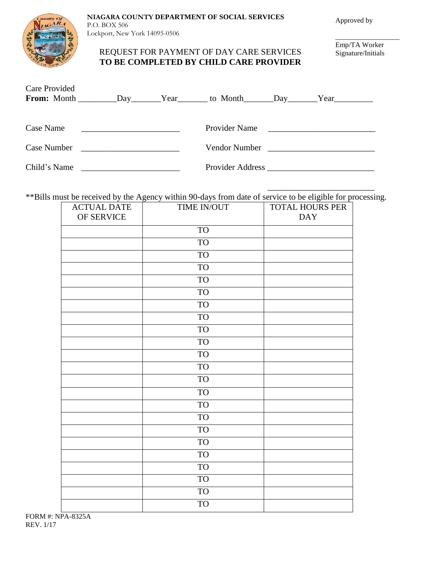County Of

## **NIAGARA COUNTY DEPARTMENT OF SOCIAL SERVICES** P.O. BOX 506

Lockport, New York 14095-0506

## REQUEST FOR PAYMENT OF DAY CARE SERVICES **TO BE COMPLETED BY CHILD CARE PROVIDER**

Emp/TA Worker Signature/Initials

\_\_\_\_\_\_\_\_\_\_\_\_\_\_\_\_\_\_

 $\mathcal{L}_\text{max}$  , and the set of the set of the set of the set of the set of the set of the set of the set of the set of the set of the set of the set of the set of the set of the set of the set of the set of the set of the

| <b>Care Provided</b> |                                                            |                                                                                                      |                                               |  |
|----------------------|------------------------------------------------------------|------------------------------------------------------------------------------------------------------|-----------------------------------------------|--|
|                      |                                                            | From: Month ___________Day________Year_________ to Month _______Day_______Year______________________ |                                               |  |
|                      |                                                            |                                                                                                      |                                               |  |
| Case Name            |                                                            | Provider Name                                                                                        |                                               |  |
| Case Number          | <u> 1989 - Johann Barn, mars ann an t-Amhain ann an t-</u> | Vendor Number                                                                                        | <u> 1980 - Andrea Andrew Maria (h. 1980).</u> |  |
| Child's Name         |                                                            | Provider Address <b>Executive Address</b>                                                            |                                               |  |

\*\*Bills must be received by the Agency within 90-days from date of service to be eligible for processing.

| <b>ACTUAL DATE</b> | TIME IN/OUT | <b>TOTAL HOURS PER</b> |
|--------------------|-------------|------------------------|
| OF SERVICE         |             | <b>DAY</b>             |
|                    | <b>TO</b>   |                        |
|                    | <b>TO</b>   |                        |
|                    | <b>TO</b>   |                        |
|                    | <b>TO</b>   |                        |
|                    | <b>TO</b>   |                        |
|                    | <b>TO</b>   |                        |
|                    | <b>TO</b>   |                        |
|                    | <b>TO</b>   |                        |
|                    | <b>TO</b>   |                        |
|                    | <b>TO</b>   |                        |
|                    | <b>TO</b>   |                        |
|                    | <b>TO</b>   |                        |
|                    | <b>TO</b>   |                        |
|                    | <b>TO</b>   |                        |
|                    | <b>TO</b>   |                        |
|                    | <b>TO</b>   |                        |
|                    | <b>TO</b>   |                        |
|                    | <b>TO</b>   |                        |
|                    | <b>TO</b>   |                        |
|                    | <b>TO</b>   |                        |
|                    | <b>TO</b>   |                        |
|                    | <b>TO</b>   |                        |
|                    | <b>TO</b>   |                        |

FORM #: NPA-8325A REV. 1/17